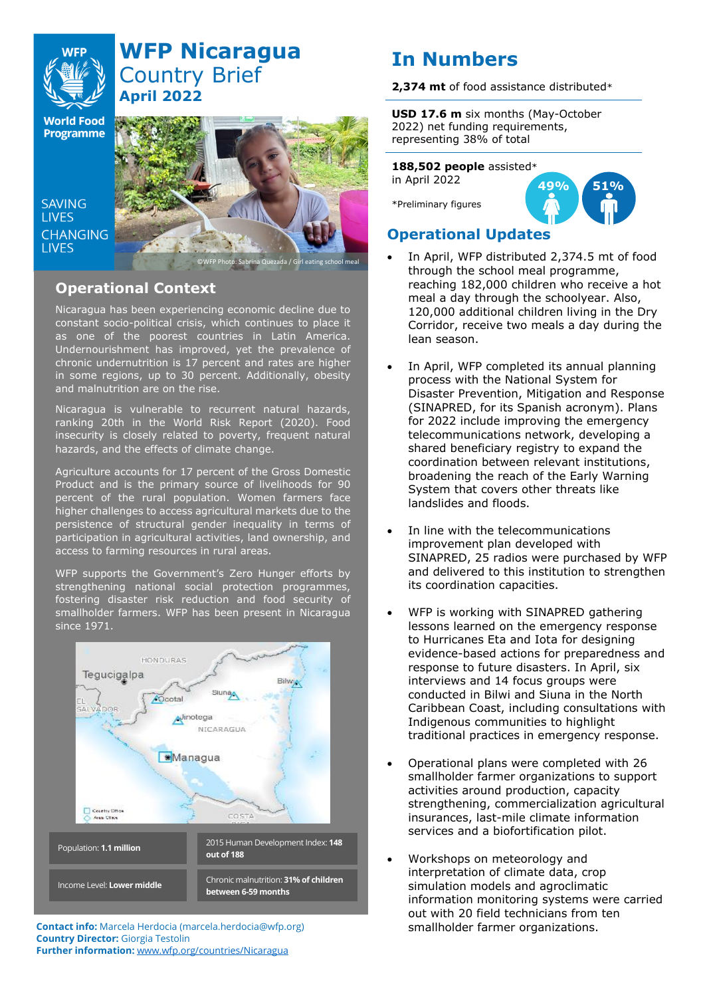

# **WFP Nicaragua** Country Brief **April 2022**

**World Food Programme** 

SAVING **TIVES CHANGING I IVES** 



## **Operational Context**

Nicaragua has been experiencing economic decline due to constant socio-political crisis, which continues to place it as one of the poorest countries in Latin America. Undernourishment has improved, yet the prevalence of chronic undernutrition is 17 percent and rates are higher in some regions, up to 30 percent. Additionally, obesity and malnutrition are on the rise.

Nicaragua is vulnerable to recurrent natural hazards, ranking 20th in the World Risk Report (2020). Food insecurity is closely related to poverty, frequent natural hazards, and the effects of climate change.

Agriculture accounts for 17 percent of the Gross Domestic Product and is the primary source of livelihoods for 90 percent of the rural population. Women farmers face higher challenges to access agricultural markets due to the persistence of structural gender inequality in terms of participation in agricultural activities, land ownership, and access to farming resources in rural areas.

WFP supports the Government's Zero Hunger efforts by strengthening national social protection programmes, fostering disaster risk reduction and food security of smallholder farmers. WFP has been present in Nicaragua since 1971.



**Contact info:** Marcela Herdocia (marcela.herdocia@wfp.org) smallholder farmer organizations. **Country Director:** Giorgia Testolin **Further information:** [www.wfp.org/countries/Nicaragua](http://www.wfp.org/countries/Nicaragua)

# **In Numbers**

**2,374 mt** of food assistance distributed\*

**USD 17.6 m** six months (May-October 2022) net funding requirements, representing 38% of total

**188,502 people** assisted\*

in April 2022

\*Preliminary figures



## **Operational Updates**

- In April, WFP distributed 2,374.5 mt of food through the school meal programme, reaching 182,000 children who receive a hot meal a day through the schoolyear. Also, 120,000 additional children living in the Dry Corridor, receive two meals a day during the lean season.
- In April, WFP completed its annual planning process with the National System for Disaster Prevention, Mitigation and Response (SINAPRED, for its Spanish acronym). Plans for 2022 include improving the emergency telecommunications network, developing a shared beneficiary registry to expand the coordination between relevant institutions, broadening the reach of the Early Warning System that covers other threats like landslides and floods.
- In line with the telecommunications improvement plan developed with SINAPRED, 25 radios were purchased by WFP and delivered to this institution to strengthen its coordination capacities.
- WFP is working with SINAPRED gathering lessons learned on the emergency response to Hurricanes Eta and Iota for designing evidence-based actions for preparedness and response to future disasters. In April, six interviews and 14 focus groups were conducted in Bilwi and Siuna in the North Caribbean Coast, including consultations with Indigenous communities to highlight traditional practices in emergency response.
- Operational plans were completed with 26 smallholder farmer organizations to support activities around production, capacity strengthening, commercialization agricultural insurances, last-mile climate information services and a biofortification pilot.
- Workshops on meteorology and interpretation of climate data, crop simulation models and agroclimatic information monitoring systems were carried out with 20 field technicians from ten